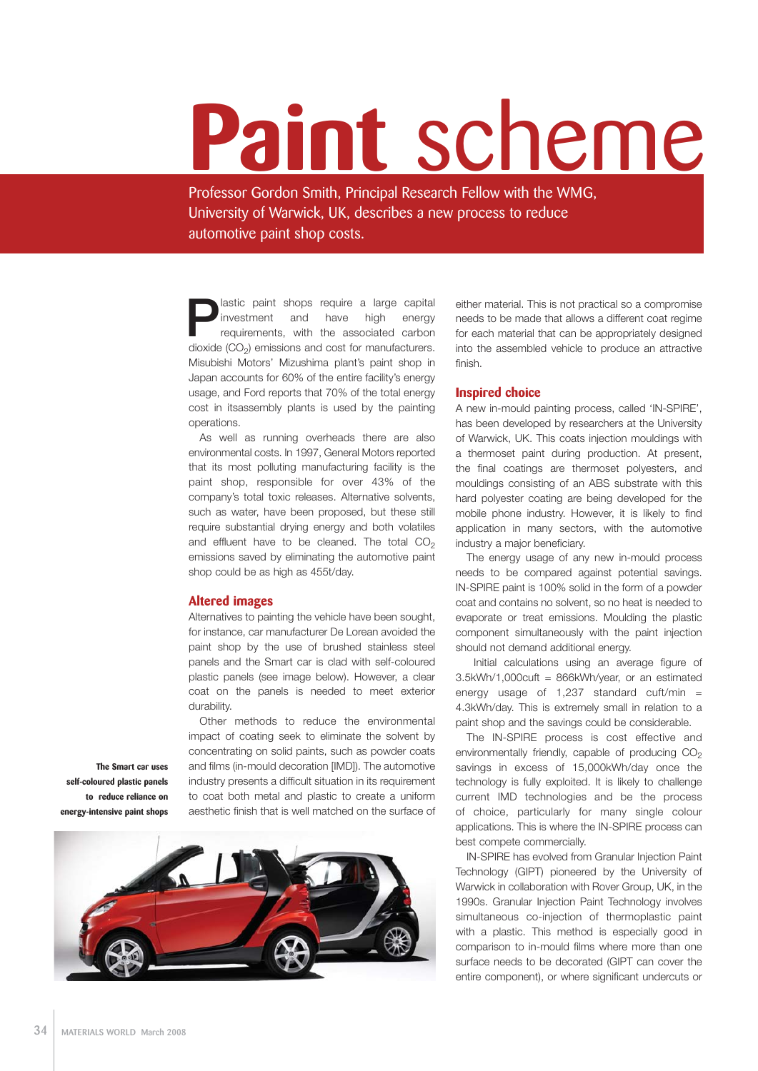# **Paint** scheme

Professor Gordon Smith, Principal Research Fellow with the WMG, University of Warwick, UK, describes a new process to reduce automotive paint shop costs.

**P**lastic paint shops require a large capital investment and have high energy requirements, with the associated carbon disvide (CO) emissions and east for mourfoot reco investment and have high energy dioxide  $(CO_2)$  emissions and cost for manufacturers. Misubishi Motors' Mizushima plant's paint shop in Japan accounts for 60% of the entire facility's energy usage, and Ford reports that 70% of the total energy cost in itsassembly plants is used by the painting operations.

As well as running overheads there are also environmental costs. In 1997, General Motors reported that its most polluting manufacturing facility is the paint shop, responsible for over 43% of the company's total toxic releases. Alternative solvents, such as water, have been proposed, but these still require substantial drying energy and both volatiles and effluent have to be cleaned. The total  $CO<sub>2</sub>$ emissions saved by eliminating the automotive paint shop could be as high as 455t/day.

### **Altered images**

Alternatives to painting the vehicle have been sought, for instance, car manufacturer De Lorean avoided the paint shop by the use of brushed stainless steel panels and the Smart car is clad with self-coloured plastic panels (see image below). However, a clear coat on the panels is needed to meet exterior durability.

Other methods to reduce the environmental impact of coating seek to eliminate the solvent by concentrating on solid paints, such as powder coats and films (in-mould decoration [IMD]). The automotive industry presents a difficult situation in its requirement to coat both metal and plastic to create a uniform aesthetic finish that is well matched on the surface of

**The Smart car uses self-coloured plastic panels to reduce reliance on energy-intensive paint shops**



either material. This is not practical so a compromise needs to be made that allows a different coat regime for each material that can be appropriately designed into the assembled vehicle to produce an attractive finish.

### **Inspired choice**

A new in-mould painting process, called 'IN-SPIRE', has been developed by researchers at the University of Warwick, UK. This coats injection mouldings with a thermoset paint during production. At present, the final coatings are thermoset polyesters, and mouldings consisting of an ABS substrate with this hard polyester coating are being developed for the mobile phone industry. However, it is likely to find application in many sectors, with the automotive industry a major beneficiary.

The energy usage of any new in-mould process needs to be compared against potential savings. IN-SPIRE paint is 100% solid in the form of a powder coat and contains no solvent, so no heat is needed to evaporate or treat emissions. Moulding the plastic component simultaneously with the paint injection should not demand additional energy.

Initial calculations using an average figure of 3.5kWh/1,000cuft = 866kWh/year, or an estimated energy usage of  $1,237$  standard cuft/min = 4.3kWh/day. This is extremely small in relation to a paint shop and the savings could be considerable.

The IN-SPIRE process is cost effective and environmentally friendly, capable of producing  $CO<sub>2</sub>$ savings in excess of 15,000kWh/day once the technology is fully exploited. It is likely to challenge current IMD technologies and be the process of choice, particularly for many single colour applications. This is where the IN-SPIRE process can best compete commercially.

IN-SPIRE has evolved from Granular Injection Paint Technology (GIPT) pioneered by the University of Warwick in collaboration with Rover Group, UK, in the 1990s. Granular Injection Paint Technology involves simultaneous co-injection of thermoplastic paint with a plastic. This method is especially good in comparison to in-mould films where more than one surface needs to be decorated (GIPT can cover the entire component), or where significant undercuts or